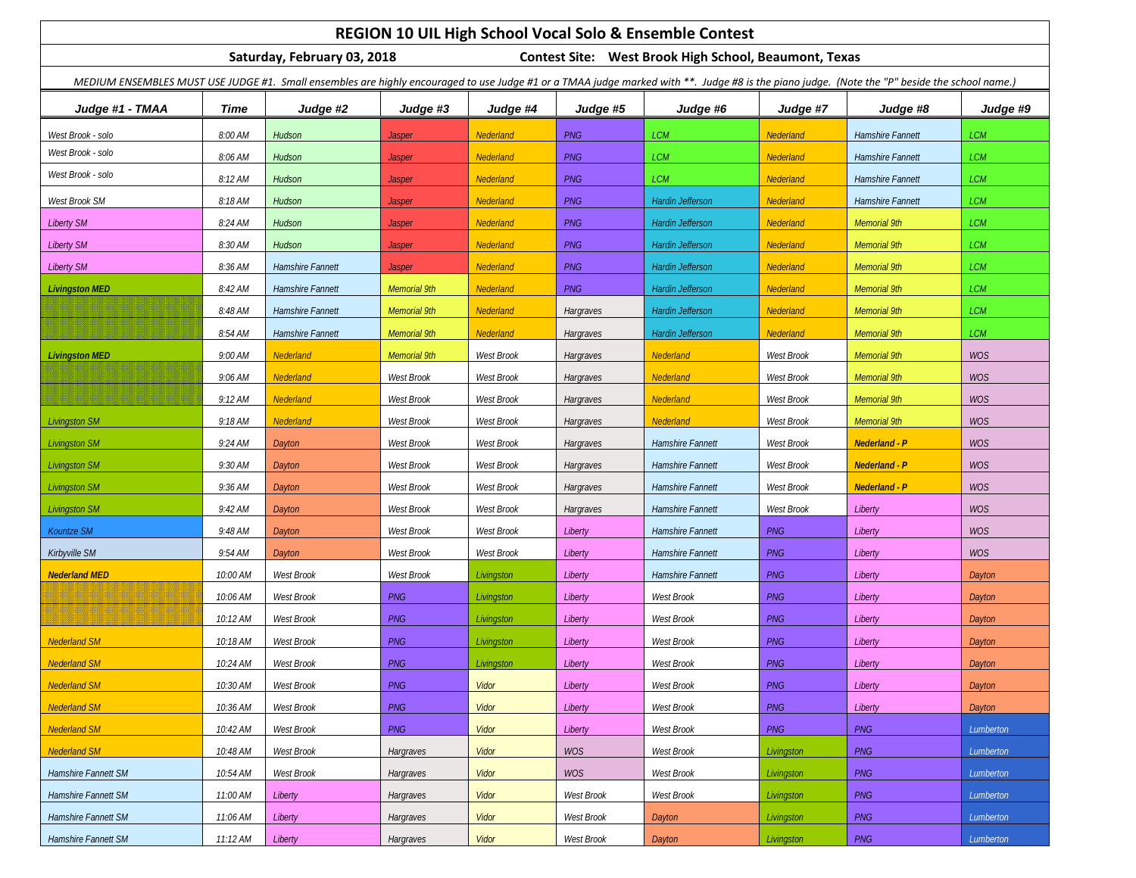| REGION 10 UIL High School Vocal Solo & Ensemble Contest                                                                                                                                       |          |                  |                     |                   |            |                         |            |                         |            |
|-----------------------------------------------------------------------------------------------------------------------------------------------------------------------------------------------|----------|------------------|---------------------|-------------------|------------|-------------------------|------------|-------------------------|------------|
| Saturday, February 03, 2018<br>Contest Site: West Brook High School, Beaumont, Texas                                                                                                          |          |                  |                     |                   |            |                         |            |                         |            |
| MEDIUM ENSEMBLES MUST USE JUDGE #1. Small ensembles are highly encouraged to use Judge #1 or a TMAA judge marked with **. Judge #8 is the piano judge. (Note the "P" beside the school name.) |          |                  |                     |                   |            |                         |            |                         |            |
| Judge #1 - TMAA                                                                                                                                                                               | Time     | Judge #2         | Judge #3            | Judge #4          | Judge #5   | Judge #6                | Judge #7   | Judge #8                | Judge #9   |
| West Brook - solo                                                                                                                                                                             | 8:00 AM  | Hudson           | <b>Jasper</b>       | Nederland         | <b>PNG</b> | <b>LCM</b>              | Nederland  | Hamshire Fannett        | <b>LCM</b> |
| West Brook - solo                                                                                                                                                                             | 8:06 AM  | Hudson           | <b>Jasper</b>       | Nederland         | PNG        | <b>LCM</b>              | Nederland  | Hamshire Fannett        | <b>LCM</b> |
| West Brook - solo                                                                                                                                                                             | 8:12 AM  | Hudson           | <b>Jasper</b>       | Nederland         | PNG        | <b>LCM</b>              | Nederland  | <b>Hamshire Fannett</b> | LCM        |
| West Brook SM                                                                                                                                                                                 | 8:18 AM  | Hudson           | <b>Jasper</b>       | Nederland         | PNG        | Hardin Jefferson        | Nederland  | Hamshire Fannett        | <b>LCM</b> |
| <b>Liberty SM</b>                                                                                                                                                                             | 8:24 AM  | Hudson           | <b>Jasper</b>       | Nederland         | PNG        | <b>Hardin Jefferson</b> | Nederland  | <b>Memorial 9th</b>     | <b>LCM</b> |
| <b>Liberty SM</b>                                                                                                                                                                             | 8:30 AM  | Hudson           | <b>Jasper</b>       | Nederland         | <b>PNG</b> | Hardin Jefferson        | Nederland  | <b>Memorial 9th</b>     | LCM        |
| <b>Liberty SM</b>                                                                                                                                                                             | 8:36 AM  | Hamshire Fannett | Jasper              | Nederland         | PNG        | Hardin Jefferson        | Nederland  | <b>Memorial 9th</b>     | <b>LCM</b> |
| <b>Livingston MED</b>                                                                                                                                                                         | 8:42 AM  | Hamshire Fannett | <b>Memorial 9th</b> | Nederland         | <b>PNG</b> | Hardin Jefferson        | Nederland  | <b>Memorial 9th</b>     | <b>LCM</b> |
|                                                                                                                                                                                               | 8:48 AM  | Hamshire Fannett | <b>Memorial 9th</b> | Nederland         | Hargraves  | Hardin Jefferson        | Nederland  | <b>Memorial 9th</b>     | <b>LCM</b> |
|                                                                                                                                                                                               | 8:54 AM  | Hamshire Fannett | Memorial 9th        | Nederland         | Hargraves  | <b>Hardin Jefferson</b> | Nederland  | <b>Memorial 9th</b>     | <b>LCM</b> |
| <b>Livingston MED</b>                                                                                                                                                                         | 9:00 AM  | Nederland        | <b>Memorial 9th</b> | West Brook        | Hargraves  | Nederland               | West Brook | <b>Memorial 9th</b>     | WOS        |
|                                                                                                                                                                                               | 9:06 AM  | Nederland        | West Brook          | West Brook        | Hargraves  | Nederland               | West Brook | <b>Memorial 9th</b>     | WOS        |
|                                                                                                                                                                                               | 9:12 AM  | Nederland        | West Brook          | West Brook        | Hargraves  | Nederland               | West Brook | <b>Memorial 9th</b>     | WOS        |
| <b>Livingston SM</b>                                                                                                                                                                          | 9:18 AM  | Nederland        | West Brook          | West Brook        | Hargraves  | <b>Nederland</b>        | West Brook | <b>Memorial 9th</b>     | WOS        |
| <b>Livingston SM</b>                                                                                                                                                                          | 9:24 AM  | Dayton           | West Brook          | West Brook        | Hargraves  | <b>Hamshire Fannett</b> | West Brook | <b>Nederland - P</b>    | WOS        |
| <b>Livingston SM</b>                                                                                                                                                                          | 9:30 AM  | Dayton           | West Brook          | West Brook        | Hargraves  | Hamshire Fannett        | West Brook | <b>Nederland - P</b>    | WOS        |
| <b>Livingston SM</b>                                                                                                                                                                          | 9:36 AM  | Dayton           | West Brook          | West Brook        | Hargraves  | Hamshire Fannett        | West Brook | <b>Nederland - P</b>    | <b>WOS</b> |
| <b>Livingston SM</b>                                                                                                                                                                          | 9:42 AM  | Dayton           | West Brook          | West Brook        | Hargraves  | Hamshire Fannett        | West Brook | Liberty                 | WOS        |
| Kountze SM                                                                                                                                                                                    | 9:48 AM  | Dayton           | <b>West Brook</b>   | <b>West Brook</b> | Liberty    | <b>Hamshire Fannett</b> | PNG        | Liberty                 | WOS        |
| Kirbyville SM                                                                                                                                                                                 | 9:54 AM  | Dayton           | West Brook          | West Brook        | Liberty    | <b>Hamshire Fannett</b> | <b>PNG</b> | Liberty                 | WOS        |
| <b>Nederland MED</b>                                                                                                                                                                          | 10:00 AM | West Brook       | West Brook          | Livingston        | Liberty    | Hamshire Fannett        | PNG        | Liberty                 | Dayton     |
|                                                                                                                                                                                               | 10:06 AM | West Brook       | <b>PNG</b>          | Livingston        | Liberty    | West Brook              | <b>PNG</b> | Liberty                 | Dayton     |
|                                                                                                                                                                                               | 10:12 AM | West Brook       | <b>PNG</b>          | Livingston        | Liberty    | West Brook              | <b>PNG</b> | Liberty                 | Dayton     |
| <b>Nederland SM</b>                                                                                                                                                                           | 10:18 AM | West Brook       | <b>PNG</b>          | Livingston        | Liberty    | West Brook              | PNG        | Liberty                 | Dayton     |
| <b>Nederland SM</b>                                                                                                                                                                           | 10:24 AM | West Brook       | <b>PNG</b>          | Livingston        | Liberty    | West Brook              | <b>PNG</b> | Liberty                 | Dayton     |
| <b>Nederland SM</b>                                                                                                                                                                           | 10:30 AM | West Brook       | <b>PNG</b>          | Vidor             | Liberty    | West Brook              | <b>PNG</b> | Liberty                 | Dayton     |
| <b>Nederland SM</b>                                                                                                                                                                           | 10:36 AM | West Brook       | <b>PNG</b>          | Vidor             | Liberty    | West Brook              | <b>PNG</b> | Liberty                 | Dayton     |
| <b>Nederland SM</b>                                                                                                                                                                           | 10:42 AM | West Brook       | PNG                 | Vidor             | Liberty    | West Brook              | <b>PNG</b> | PNG                     | Lumberton  |
| <b>Nederland SM</b>                                                                                                                                                                           | 10:48 AM | West Brook       | Hargraves           | Vidor             | <b>WOS</b> | West Brook              | Livingston | PNG                     | Lumberton  |
| Hamshire Fannett SM                                                                                                                                                                           | 10:54 AM | West Brook       | Hargraves           | Vidor             | <b>WOS</b> | West Brook              | Livingston | PNG                     | Lumberton  |
| Hamshire Fannett SM                                                                                                                                                                           | 11:00 AM | Liberty          | Hargraves           | Vidor             | West Brook | West Brook              | Livingston | <b>PNG</b>              | Lumberton  |
| Hamshire Fannett SM                                                                                                                                                                           | 11:06 AM | Liberty          | Hargraves           | Vidor             | West Brook | Dayton                  | Livingston | <b>PNG</b>              | Lumberton  |
| Hamshire Fannett SM                                                                                                                                                                           | 11:12 AM | Liberty          | Hargraves           | Vidor             | West Brook | Dayton                  | Livingston | PNG                     | Lumberton  |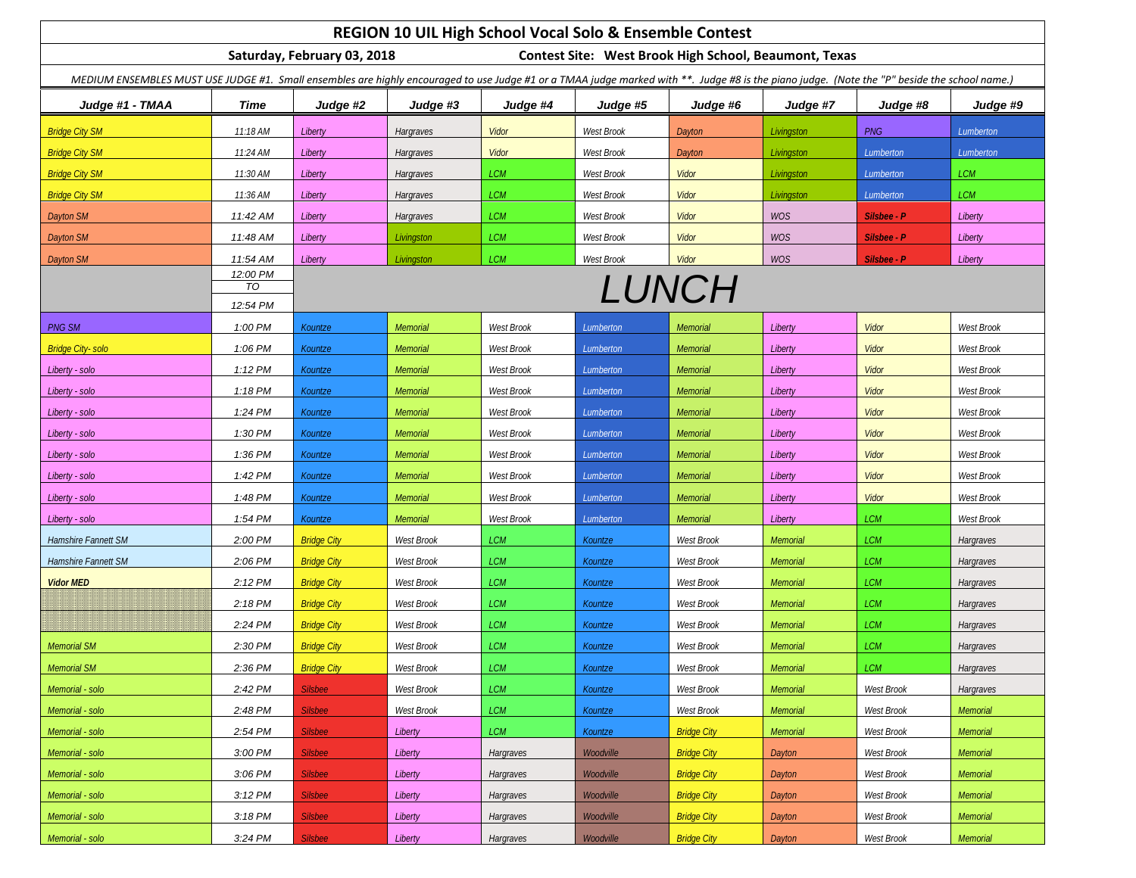| REGION 10 UIL High School Vocal Solo & Ensemble Contest                                                                                                                                       |                |                    |                 |            |            |                    |            |             |            |
|-----------------------------------------------------------------------------------------------------------------------------------------------------------------------------------------------|----------------|--------------------|-----------------|------------|------------|--------------------|------------|-------------|------------|
| Saturday, February 03, 2018<br><b>Contest Site: West Brook High School, Beaumont, Texas</b>                                                                                                   |                |                    |                 |            |            |                    |            |             |            |
| MEDIUM ENSEMBLES MUST USE JUDGE #1. Small ensembles are highly encouraged to use Judge #1 or a TMAA judge marked with **. Judge #8 is the piano judge. (Note the "P" beside the school name.) |                |                    |                 |            |            |                    |            |             |            |
| Judge #1 - TMAA                                                                                                                                                                               | Time           | Judge #2           | Judge #3        | Judge #4   | Judge #5   | Judge #6           | Judge #7   | Judge #8    | Judge #9   |
| <b>Bridge City SM</b>                                                                                                                                                                         | 11:18 AM       | Liberty            | Hargraves       | Vidor      | West Brook | Dayton             | Livingston | <b>PNG</b>  | Lumberton  |
| <b>Bridge City SM</b>                                                                                                                                                                         | 11:24 AM       | Liberty            | Hargraves       | Vidor      | West Brook | Dayton             | Livingston | Lumberton   | Lumberton  |
| <b>Bridge City SM</b>                                                                                                                                                                         | 11:30 AM       | Liberty            | Hargraves       | <b>LCM</b> | West Brook | Vidor              | Livingston | Lumberton   | <b>LCM</b> |
| <b>Bridge City SM</b>                                                                                                                                                                         | 11:36 AM       | Liberty            | Hargraves       | <b>LCM</b> | West Brook | Vidor              | Livingston | Lumberton   | <b>LCM</b> |
| Dayton SM                                                                                                                                                                                     | 11:42 AM       | Liberty            | Hargraves       | <b>LCM</b> | West Brook | Vidor              | <b>WOS</b> | Silsbee - P | Liberty    |
| Dayton SM                                                                                                                                                                                     | 11:48 AM       | Liberty            | Livingston      | <b>LCM</b> | West Brook | Vidor              | <b>WOS</b> | Silsbee - P | Liberty    |
| Dayton SM                                                                                                                                                                                     | 11:54 AM       | Liberty            | Livingston      | <b>LCM</b> | West Brook | Vidor              | <b>WOS</b> | Silsbee - P | Liberty    |
|                                                                                                                                                                                               | 12:00 PM<br>TO |                    |                 |            |            | LUNCH              |            |             |            |
|                                                                                                                                                                                               | 12:54 PM       |                    |                 |            |            |                    |            |             |            |
| <b>PNG SM</b>                                                                                                                                                                                 | 1:00 PM        | Kountze            | Memorial        | West Brook | Lumberton  | Memorial           | Liberty    | Vidor       | West Brook |
| <b>Bridge City-solo</b>                                                                                                                                                                       | 1:06 PM        | Kountze            | Memorial        | West Brook | Lumberton  | Memorial           | Liberty    | Vidor       | West Brook |
| Liberty - solo                                                                                                                                                                                | 1:12 PM        | Kountze            | Memorial        | West Brook | Lumberton  | <b>Memorial</b>    | Liberty    | Vidor       | West Brook |
| Liberty - solo                                                                                                                                                                                | 1:18 PM        | Kountze            | Memorial        | West Brook | Lumberton  | Memorial           | Liberty    | Vidor       | West Brook |
| Liberty - solo                                                                                                                                                                                | 1:24 PM        | Kountze            | Memorial        | West Brook | Lumberton  | <b>Memorial</b>    | Liberty    | Vidor       | West Brook |
| Liberty - solo                                                                                                                                                                                | 1:30 PM        | Kountze            | Memorial        | West Brook | Lumberton  | <b>Memorial</b>    | Liberty    | Vidor       | West Brook |
| Liberty - solo                                                                                                                                                                                | 1:36 PM        | Kountze            | <b>Memorial</b> | West Brook | Lumberton  | <b>Memorial</b>    | Liberty    | Vidor       | West Brook |
| Liberty - solo                                                                                                                                                                                | 1:42 PM        | Kountze            | Memorial        | West Brook | Lumberton  | <b>Memorial</b>    | Liberty    | Vidor       | West Brook |
| Liberty - solo                                                                                                                                                                                | 1:48 PM        | Kountze            | Memorial        | West Brook | Lumberton  | <b>Memorial</b>    | Liberty    | Vidor       | West Brook |
| Liberty - solo                                                                                                                                                                                | 1:54 PM        | Kountze            | Memorial        | West Brook | Lumberton  | <b>Memorial</b>    | Liberty    | <b>LCM</b>  | West Brook |
| Hamshire Fannett SM                                                                                                                                                                           | 2:00 PM        | <b>Bridge City</b> | West Brook      | <b>LCM</b> | Kountze    | West Brook         | Memorial   | <b>LCM</b>  | Hargraves  |
| Hamshire Fannett SM                                                                                                                                                                           | 2:06 PM        | <b>Bridge City</b> | West Brook      | <b>LCM</b> | Kountze    | West Brook         | Memorial   | <b>LCM</b>  | Hargraves  |
| <b>Vidor MED</b>                                                                                                                                                                              | 2:12 PM        | <b>Bridge City</b> | West Brook      | <b>LCM</b> | Kountze    | West Brook         | Memorial   | <b>LCM</b>  | Hargraves  |
|                                                                                                                                                                                               | 2:18 PM        | <b>Bridge City</b> | West Brook      | <b>LCM</b> | Kountze    | West Brook         | Memorial   | <b>LCM</b>  | Hargraves  |
|                                                                                                                                                                                               | 2:24 PM        | <b>Bridge City</b> | West Brook      | <b>LCM</b> | Kountze    | West Brook         | Memorial   | <b>LCM</b>  | Hargraves  |
| <b>Memorial SM</b>                                                                                                                                                                            | 2:30 PM        | <b>Bridge City</b> | West Brook      | LCM        | Kountze    | West Brook         | Memorial   | <b>LCM</b>  | Hargraves  |
| <b>Memorial SM</b>                                                                                                                                                                            | 2:36 PM        | <b>Bridge City</b> | West Brook      | LCM        | Kountze    | West Brook         | Memorial   | LCM         | Hargraves  |
| Memorial - solo                                                                                                                                                                               | 2:42 PM        | <b>Silsbee</b>     | West Brook      | LCM        | Kountze    | West Brook         | Memorial   | West Brook  | Hargraves  |
| Memorial - solo                                                                                                                                                                               | 2:48 PM        | <b>Silsbee</b>     | West Brook      | LCM        | Kountze    | West Brook         | Memorial   | West Brook  | Memorial   |
| Memorial - solo                                                                                                                                                                               | 2:54 PM        | <b>Silsbee</b>     | Liberty         | <b>LCM</b> | Kountze    | <b>Bridge City</b> | Memorial   | West Brook  | Memorial   |
| Memorial - solo                                                                                                                                                                               | 3:00 PM        | <b>Silsbee</b>     | Liberty         | Hargraves  | Woodville  | <b>Bridge City</b> | Dayton     | West Brook  | Memorial   |
| Memorial - solo                                                                                                                                                                               | 3:06 PM        | <b>Silsbee</b>     | Liberty         | Hargraves  | Woodville  | <b>Bridge City</b> | Dayton     | West Brook  | Memorial   |
| Memorial - solo                                                                                                                                                                               | 3:12 PM        | <b>Silsbee</b>     | Liberty         | Hargraves  | Woodville  | <b>Bridge City</b> | Dayton     | West Brook  | Memorial   |
| Memorial - solo                                                                                                                                                                               | 3:18 PM        | <b>Silsbee</b>     | Liberty         | Hargraves  | Woodville  | <b>Bridge City</b> | Dayton     | West Brook  | Memorial   |
| Memorial - solo                                                                                                                                                                               | 3:24 PM        | <b>Silsbee</b>     | Liberty         | Hargraves  | Woodville  | <b>Bridge City</b> | Dayton     | West Brook  | Memorial   |